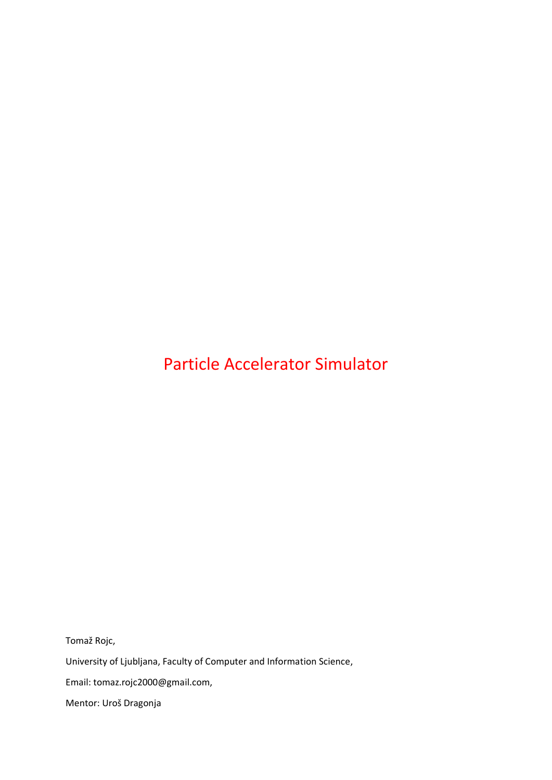# Particle Accelerator Simulator

Tomaž Rojc,

University of Ljubljana, Faculty of Computer and Information Science,

Email: tomaz.rojc2000@gmail.com,

Mentor: Uroš Dragonja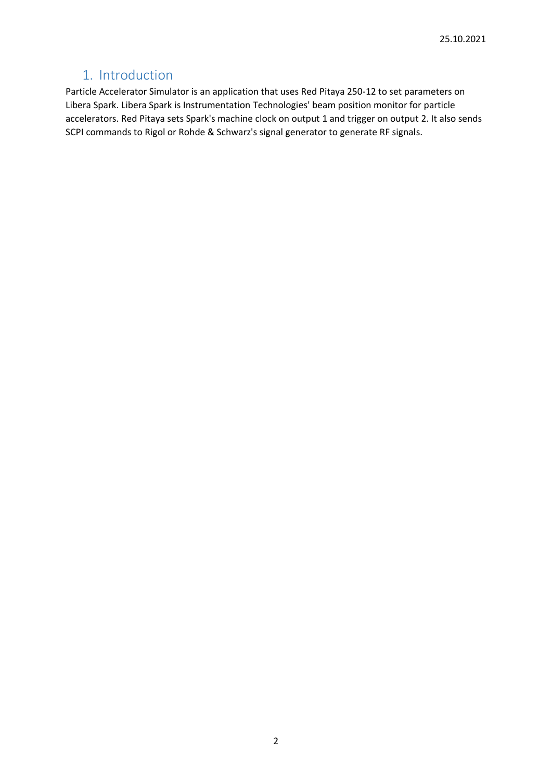### 1. Introduction

Particle Accelerator Simulator is an application that uses Red Pitaya 250-12 to set parameters on Libera Spark. Libera Spark is Instrumentation Technologies' beam position monitor for particle accelerators. Red Pitaya sets Spark's machine clock on output 1 and trigger on output 2. It also sends SCPI commands to Rigol or Rohde & Schwarz's signal generator to generate RF signals.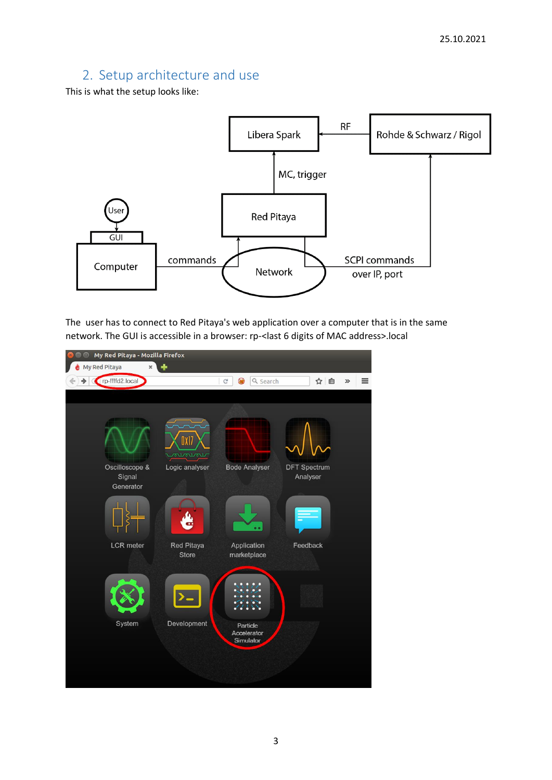## 2. Setup architecture and use

This is what the setup looks like:



The user has to connect to Red Pitaya's web application over a computer that is in the same network. The GUI is accessible in a browser: rp-<last 6 digits of MAC address>.local

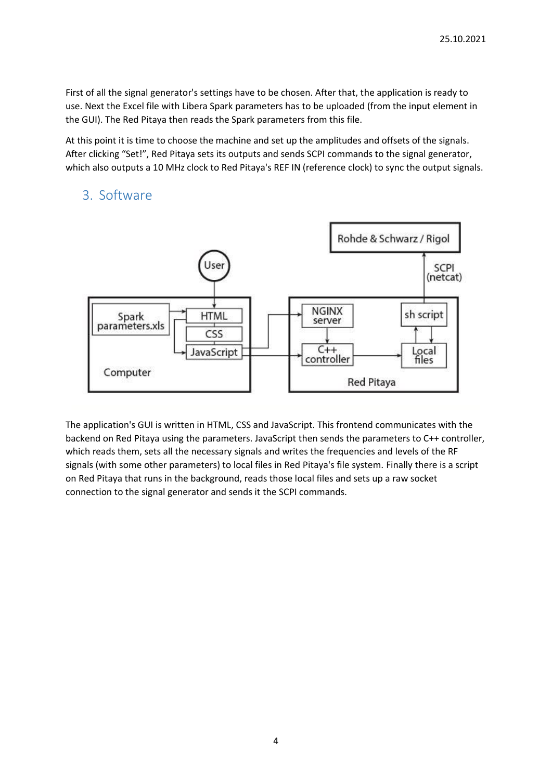First of all the signal generator's settings have to be chosen. After that, the application is ready to use. Next the Excel file with Libera Spark parameters has to be uploaded (from the input element in the GUI). The Red Pitaya then reads the Spark parameters from this file.

At this point it is time to choose the machine and set up the amplitudes and offsets of the signals. After clicking "Set!", Red Pitaya sets its outputs and sends SCPI commands to the signal generator, which also outputs a 10 MHz clock to Red Pitaya's REF IN (reference clock) to sync the output signals.

#### 3. Software



The application's GUI is written in HTML, CSS and JavaScript. This frontend communicates with the backend on Red Pitaya using the parameters. JavaScript then sends the parameters to C++ controller, which reads them, sets all the necessary signals and writes the frequencies and levels of the RF signals (with some other parameters) to local files in Red Pitaya's file system. Finally there is a script on Red Pitaya that runs in the background, reads those local files and sets up a raw socket connection to the signal generator and sends it the SCPI commands.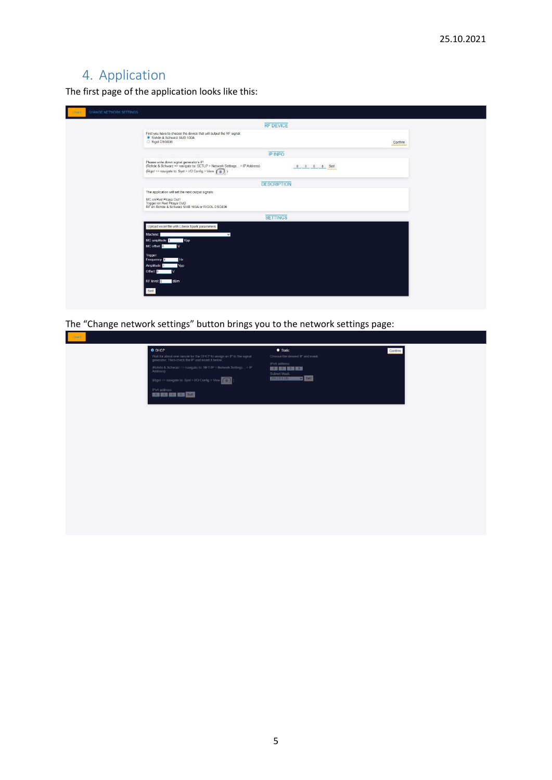# 4. Application

The first page of the application looks like this:

| <b>RF DEVICE</b>                                                                                                                                                                                     |  |
|------------------------------------------------------------------------------------------------------------------------------------------------------------------------------------------------------|--|
| First you have to choose the device that will output the RF signal:<br>Rohde & Schwarz SMB 100A<br>Rigol DSG836<br>Confirm                                                                           |  |
| <b>IP INFO</b>                                                                                                                                                                                       |  |
| Please write down signal generator's IP:<br>(Rohde & Schwarz => navigate to: SETUP > Network Settings > IP Address)<br>0 0 0 0 0 0 Setl<br>(Rigol => navigate to: Syst > I/O Config > View $\circ$ ) |  |
| <b>DESCRIPTION</b>                                                                                                                                                                                   |  |
| The application will set the next output signals:                                                                                                                                                    |  |
| MC on Red Pitaya Out1<br>Trigger on Red Pitaya Out2<br>RF on Rohde & Schwarz SMB 100A or RIGOL DSG836                                                                                                |  |
| <b>SETTINGS</b>                                                                                                                                                                                      |  |
| Upload excel file with Libera Spark parameters<br>Machine:<br>$\checkmark$<br>MC amplitude:<br>Vpp<br>MC offset: 0<br>$\mathbf{v}$<br>Trigger:<br>Frequency:<br>Hz<br>Amplitude:<br>Vpp<br>Offset: 0 |  |
| RF level: 0 dBm<br>Setl                                                                                                                                                                              |  |

The "Change network settings" button brings you to the network settings page: